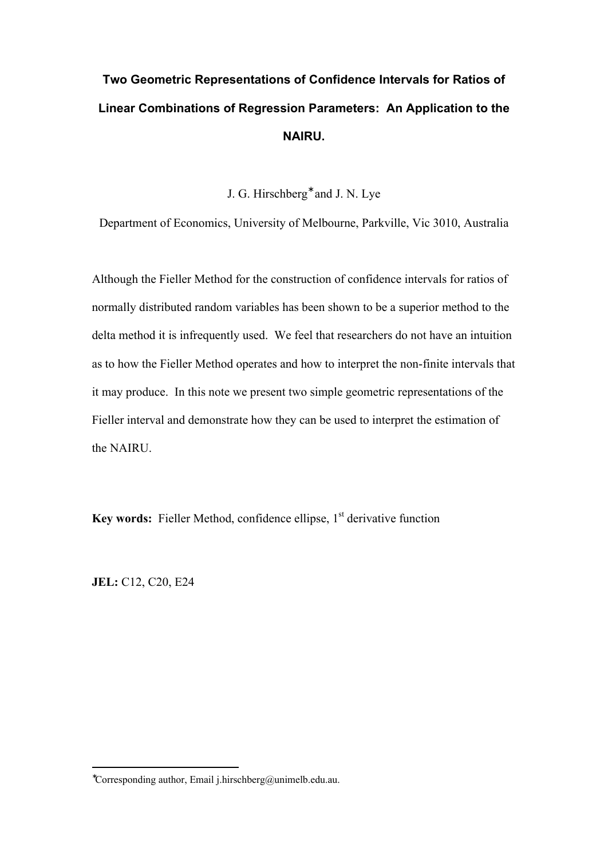# **Two Geometric Representations of Confidence Intervals for Ratios of Linear Combinations of Regression Parameters: An Application to the NAIRU.**

J. G. Hirschberg<sup>\*</sup> and J. N. Lye

Department of Economics, University of Melbourne, Parkville, Vic 3010, Australia

Although the Fieller Method for the construction of confidence intervals for ratios of normally distributed random variables has been shown to be a superior method to the delta method it is infrequently used. We feel that researchers do not have an intuition as to how the Fieller Method operates and how to interpret the non-finite intervals that it may produce. In this note we present two simple geometric representations of the Fieller interval and demonstrate how they can be used to interpret the estimation of the NAIRU.

**Key words:** Fieller Method, confidence ellipse, 1<sup>st</sup> derivative function

**JEL:** C12, C20, E24

 $\overline{a}$ 

<sup>∗</sup>Corresponding author, Email j.hirschberg@unimelb.edu.au.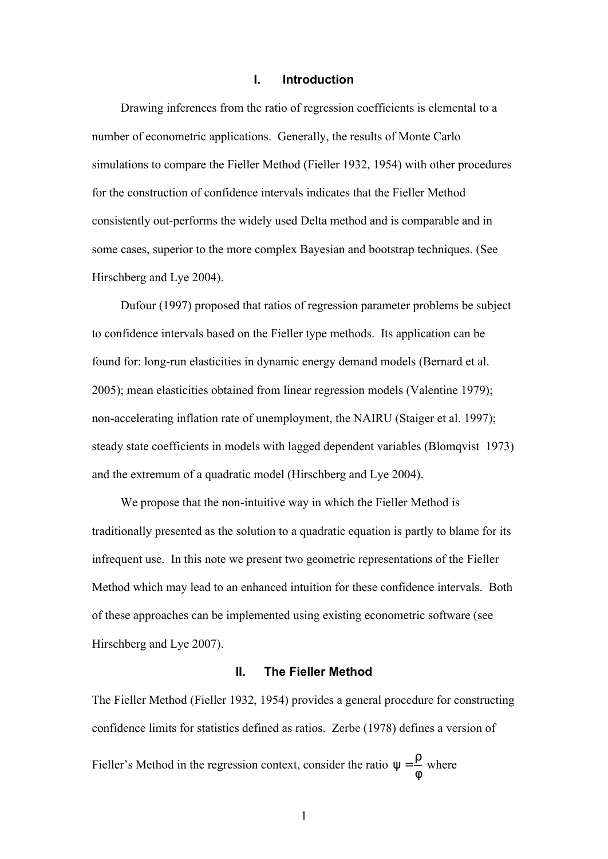# **I. Introduction**

Drawing inferences from the ratio of regression coefficients is elemental to a number of econometric applications. Generally, the results of Monte Carlo simulations to compare the Fieller Method (Fieller 1932, 1954) with other procedures for the construction of confidence intervals indicates that the Fieller Method consistently out-performs the widely used Delta method and is comparable and in some cases, superior to the more complex Bayesian and bootstrap techniques. (See Hirschberg and Lye 2004).

Dufour (1997) proposed that ratios of regression parameter problems be subject to confidence intervals based on the Fieller type methods. Its application can be found for: long-run elasticities in dynamic energy demand models (Bernard et al. 2005); mean elasticities obtained from linear regression models (Valentine 1979); non-accelerating inflation rate of unemployment, the NAIRU (Staiger et al. 1997); steady state coefficients in models with lagged dependent variables (Blomqvist 1973) and the extremum of a quadratic model (Hirschberg and Lye 2004).

We propose that the non-intuitive way in which the Fieller Method is traditionally presented as the solution to a quadratic equation is partly to blame for its infrequent use. In this note we present two geometric representations of the Fieller Method which may lead to an enhanced intuition for these confidence intervals. Both of these approaches can be implemented using existing econometric software (see Hirschberg and Lye 2007).

# **II. The Fieller Method**

The Fieller Method (Fieller 1932, 1954) provides a general procedure for constructing confidence limits for statistics defined as ratios. Zerbe (1978) defines a version of Fieller's Method in the regression context, consider the ratio  $\psi = \frac{\rho}{\sigma}$ φ where

1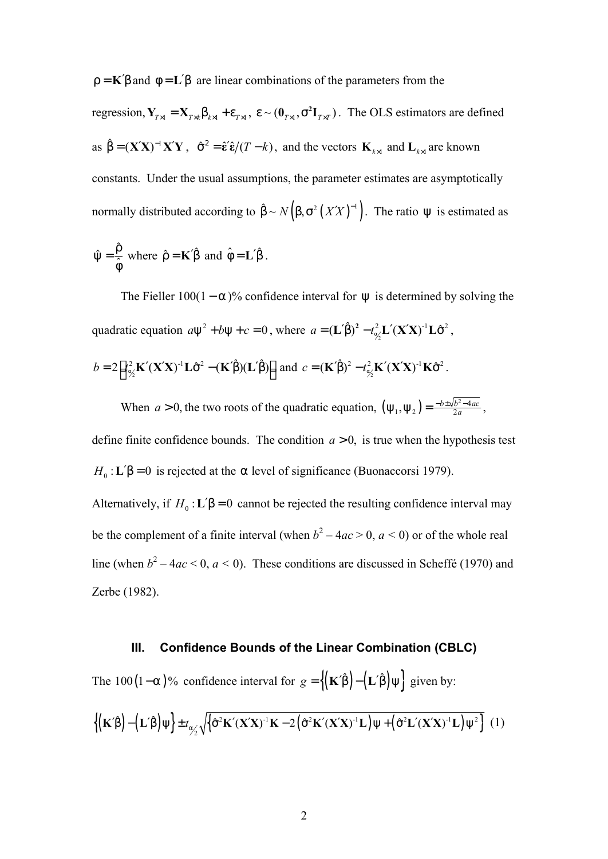$\rho = K' \beta$  and  $\phi = L' \beta$  are linear combinations of the parameters from the

regression,  $Y_{T\times I} = X_{T\times K}\beta_{K\times I} + \varepsilon_{T\times I}$ ,  $\varepsilon \sim (0_{T\times I}, \sigma^2 I_{T\times T})$ . The OLS estimators are defined as  $\hat{\beta} = (\mathbf{X}'\mathbf{X})^{-1}\mathbf{X}'\mathbf{Y}$ ,  $\hat{\sigma}^2 = \hat{\epsilon}'\hat{\epsilon}/(T-k)$ , and the vectors  $\mathbf{K}_{k\times l}$  and  $\mathbf{L}_{k\times l}$  are known constants. Under the usual assumptions, the parameter estimates are asymptotically normally distributed according to  $\hat{\beta} \sim N(\beta, \sigma^2 (XX)^{-1})$ . The ratio  $\psi$  is estimated as

$$
\hat{\psi} = \frac{\hat{\rho}}{\hat{\phi}}
$$
 where  $\hat{\rho} = \mathbf{K}'\hat{\beta}$  and  $\hat{\phi} = \mathbf{L}'\hat{\beta}$ .

The Fieller  $100(1 - \alpha)$ % confidence interval for  $\psi$  is determined by solving the quadratic equation  $a\psi^2 + b\psi + c = 0$ , where  $a = (\mathbf{L}'\hat{\beta})^2 - t_{\alpha/2}^2 \mathbf{L}'(\mathbf{X}'\mathbf{X})^{-1}\mathbf{L}\hat{\sigma}^2$ ,

$$
b = 2\Big[t_{\alpha/2}^2 \mathbf{K}'(\mathbf{X}'\mathbf{X})^{-1}\mathbf{L}\hat{\sigma}^2 - (\mathbf{K}'\hat{\boldsymbol{\beta}})(\mathbf{L}'\hat{\boldsymbol{\beta}})\Big] \text{ and } c = (\mathbf{K}'\hat{\boldsymbol{\beta}})^2 - t_{\alpha/2}^2 \mathbf{K}'(\mathbf{X}'\mathbf{X})^{-1}\mathbf{K}\hat{\sigma}^2.
$$

When  $a > 0$ , the two roots of the quadratic equation,  $(\psi_1, \psi_2) = \frac{-b \pm \sqrt{b^2}}{2a}$  $(\mathbf{y}_1, \mathbf{\Psi}_2) = \frac{-b \pm \sqrt{b^2 - 4}}{2a}$  $(\Psi_2) = \frac{-b \pm \sqrt{b^2 - 4ac}}{2a}$  $\Psi_1, \Psi_2$ ) =  $\frac{-b \pm \sqrt{b^2 - 4ac}}{2a}$ ,

define finite confidence bounds. The condition  $a > 0$ , is true when the hypothesis test  $H_0$ : **L**′β = 0 is rejected at the *a* level of significance (Buonaccorsi 1979). Alternatively, if  $H_0$ :  $\mathbf{L}'\beta = 0$  cannot be rejected the resulting confidence interval may

be the complement of a finite interval (when  $b^2 - 4ac > 0$ ,  $a < 0$ ) or of the whole real line (when  $b^2 - 4ac < 0$ ,  $a < 0$ ). These conditions are discussed in Scheffé (1970) and Zerbe (1982).

## **III. Confidence Bounds of the Linear Combination (CBLC)**

The 100(1–*a*)% confidence interval for  $g = \{ (K'\hat{\beta}) - (L'\hat{\beta})\psi \}$  given by:

$$
\left\{ \left( \mathbf{K}'\hat{\boldsymbol{\beta}} \right) - \left( \mathbf{L}'\hat{\boldsymbol{\beta}} \right) \psi \right\} \pm t_{\alpha/2} \sqrt{\left\{ \hat{\sigma}^2 \mathbf{K}' (\mathbf{X}'\mathbf{X})^{-1} \mathbf{K} - 2 \left( \hat{\sigma}^2 \mathbf{K}' (\mathbf{X}'\mathbf{X})^{-1} \mathbf{L} \right) \psi + \left( \hat{\sigma}^2 \mathbf{L}' (\mathbf{X}'\mathbf{X})^{-1} \mathbf{L} \right) \psi^2 \right\} (1)
$$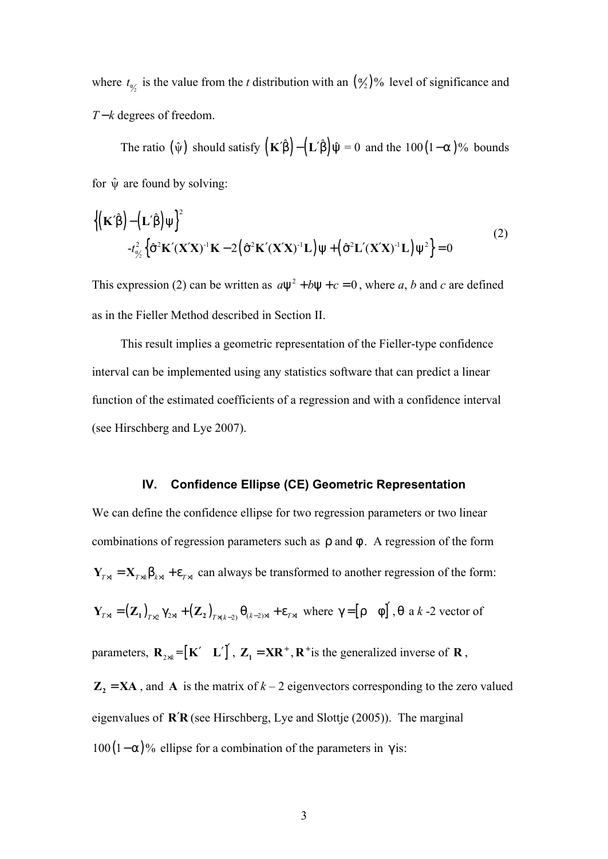where  $t_{\alpha\beta}$  is the value from the *t* distribution with an  $(\frac{\alpha}{2})\%$  level of significance and *T* − *k* degrees of freedom.

The ratio  $(\hat{\psi})$  should satisfy  $(K'\hat{\beta}) - (L'\hat{\beta})\hat{\psi} = 0$  and the 100(1-*a*)% bounds for  $\hat{\psi}$  are found by solving:

$$
\left\{ \left( \mathbf{K}' \hat{\boldsymbol{\beta}} \right) - \left( \mathbf{L}' \hat{\boldsymbol{\beta}} \right) \psi \right\}^2 - t_{\alpha/2}^2 \left\{ \hat{\sigma}^2 \mathbf{K}' (\mathbf{X}' \mathbf{X})^{-1} \mathbf{K} - 2 \left( \hat{\sigma}^2 \mathbf{K}' (\mathbf{X}' \mathbf{X})^{-1} \mathbf{L} \right) \psi + \left( \hat{\sigma}^2 \mathbf{L}' (\mathbf{X}' \mathbf{X})^{-1} \mathbf{L} \right) \psi^2 \right\} = 0
$$
\n(2)

This expression (2) can be written as  $a\psi^2 + b\psi + c = 0$ , where *a*, *b* and *c* are defined as in the Fieller Method described in Section II.

This result implies a geometric representation of the Fieller-type confidence interval can be implemented using any statistics software that can predict a linear function of the estimated coefficients of a regression and with a confidence interval (see Hirschberg and Lye 2007).

# **IV. Confidence Ellipse (CE) Geometric Representation**

We can define the confidence ellipse for two regression parameters or two linear combinations of regression parameters such as  $\rho$  and  $\phi$ . A regression of the form  $Y_{T\times1} = X_{T\times1} \beta_{k\times1} + \varepsilon_{T\times1}$  can always be transformed to another regression of the form:  $\mathbf{Y}_{T\times1} = (\mathbf{Z}_1)_{T\times2} \gamma_{2\times1} + (\mathbf{Z}_2)_{T\times(k-2)} \theta_{(k-2)\times1} + \varepsilon_{T\times1}$  where  $\gamma = [\rho \quad \phi]'$ ,  $\theta$  a *k* -2 vector of parameters,  $\mathbf{R}_{2\times k} = [\mathbf{K'} \quad \mathbf{L'}]'$ ,  $\mathbf{Z}_1 = \mathbf{X}\mathbf{R}^+$ ,  $\mathbf{R}^+$  is the generalized inverse of  $\mathbf{R}$ ,

 $\mathbf{Z}_2 = \mathbf{X} \mathbf{A}$ , and  $\mathbf{A}$  is the matrix of  $k - 2$  eigenvectors corresponding to the zero valued eigenvalues of **R**′**R** (see Hirschberg, Lye and Slottje (2005)). The marginal  $100(1-\alpha)$ % ellipse for a combination of the parameters in  $\gamma$  is: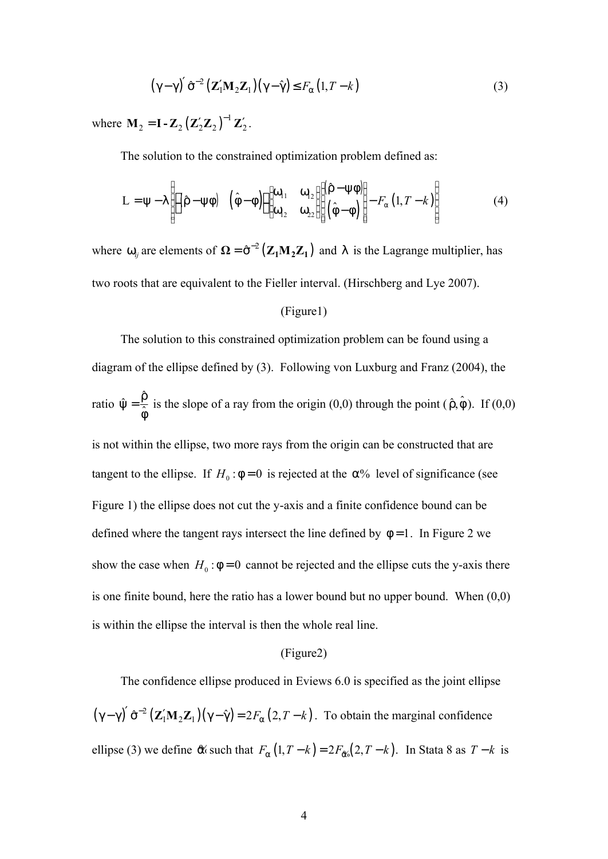$$
(\gamma - \gamma)' \hat{\sigma}^{-2} (\mathbf{Z}_1' \mathbf{M}_2 \mathbf{Z}_1) (\gamma - \hat{\gamma}) \le F_\alpha (1, T - k)
$$
 (3)

where  $M_2 = I - Z_2 (Z'_2 Z_2)^{-1}$  $M_2 = I - Z_2 (Z'_2 Z_2)^{-1} Z'_2$ .

The solution to the constrained optimization problem defined as:

$$
L = \psi - \lambda \left[ \left[ (\hat{\rho} - \psi \phi) \quad (\hat{\phi} - \phi) \right] \begin{bmatrix} \omega_{11} & \omega_{12} \\ \omega_{12} & \omega_{22} \end{bmatrix} \begin{bmatrix} (\hat{\rho} - \psi \phi) \\ (\hat{\phi} - \phi) \end{bmatrix} - F_{\alpha} (1, T - k) \right]
$$
(4)

where  $\omega_{ij}$  are elements of  $\Omega = \hat{\sigma}^{-2} (Z_1 M_2 Z_1)$  and  $\lambda$  is the Lagrange multiplier, has two roots that are equivalent to the Fieller interval. (Hirschberg and Lye 2007).

# (Figure1)

The solution to this constrained optimization problem can be found using a diagram of the ellipse defined by (3). Following von Luxburg and Franz (2004), the ratio  $\hat{\psi} = \frac{\hat{\rho}}{\hat{\phi}}$  $\hat{\psi} = \frac{\hat{\rho}}{\hat{\gamma}}$ φ is the slope of a ray from the origin (0,0) through the point  $(\hat{\rho}, \hat{\phi})$ . If (0,0) is not within the ellipse, two more rays from the origin can be constructed that are tangent to the ellipse. If  $H_0$ :  $\phi = 0$  is rejected at the  $\alpha$ % level of significance (see Figure 1) the ellipse does not cut the y-axis and a finite confidence bound can be defined where the tangent rays intersect the line defined by  $\phi = 1$ . In Figure 2 we show the case when  $H_0$ :  $\phi = 0$  cannot be rejected and the ellipse cuts the y-axis there is one finite bound, here the ratio has a lower bound but no upper bound. When (0,0) is within the ellipse the interval is then the whole real line.

#### (Figure2)

The confidence ellipse produced in Eviews 6.0 is specified as the joint ellipse  $(\gamma - \gamma)' \hat{\sigma}^{-2} (\mathbf{Z}_1' \mathbf{M}_2 \mathbf{Z}_1) (\gamma - \hat{\gamma}) = 2F_\alpha (2, T - k)$  $\hat{\sigma}^{-2} (\mathbf{Z}_1' \mathbf{M}_2 \mathbf{Z}_1)(\gamma - \hat{\gamma}) = 2F_\alpha (2, T - k)$  $(\gamma - \gamma)' \hat{\sigma}^{-2} (\mathbf{Z}_1' \mathbf{M}_2 \mathbf{Z}_1)(\gamma - \hat{\gamma}) = 2F_\alpha (2, T - k)$ . To obtain the marginal confidence ellipse (3) we define  $\alpha$  such that  $F_{\alpha}(1, T - k) = 2F_{\alpha}(\alpha_2, T - k)$ . In Stata 8 as  $T - k$  is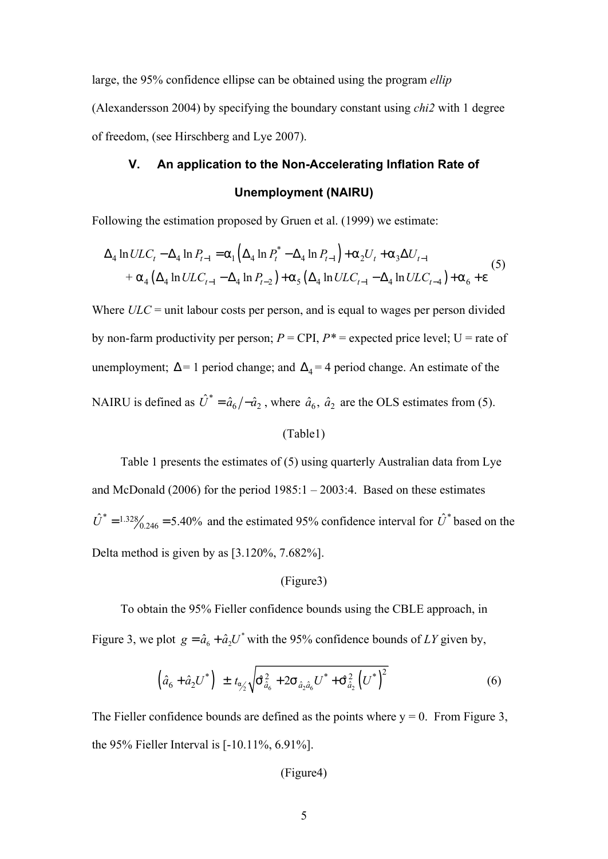large, the 95% confidence ellipse can be obtained using the program *ellip* (Alexandersson 2004) by specifying the boundary constant using *chi2* with 1 degree of freedom, (see Hirschberg and Lye 2007).

# **V. An application to the Non-Accelerating Inflation Rate of Unemployment (NAIRU)**

Following the estimation proposed by Gruen et al. (1999) we estimate:

$$
\Delta_4 \ln ULC_t - \Delta_4 \ln P_{t-1} = a_1 \left( \Delta_4 \ln P_t^* - \Delta_4 \ln P_{t-1} \right) + a_2 U_t + a_3 \Delta U_{t-1}
$$
  
+ 
$$
a_4 \left( \Delta_4 \ln ULC_{t-1} - \Delta_4 \ln P_{t-2} \right) + a_5 \left( \Delta_4 \ln ULC_{t-1} - \Delta_4 \ln ULC_{t-4} \right) + a_6 + e
$$
 (5)

Where *ULC* = unit labour costs per person, and is equal to wages per person divided by non-farm productivity per person;  $P = \text{CPI}$ ,  $P^* =$  expected price level;  $U =$  rate of unemployment;  $\Delta = 1$  period change; and  $\Delta_4 = 4$  period change. An estimate of the NAIRU is defined as  $\hat{U}^* = \hat{a}_6 / -\hat{a}_2$ , where  $\hat{a}_6$ ,  $\hat{a}_2$  are the OLS estimates from (5).

#### (Table1)

Table 1 presents the estimates of (5) using quarterly Australian data from Lye and McDonald (2006) for the period  $1985:1 - 2003:4$ . Based on these estimates  $\hat{U}^* = 1.32\frac{8}{246} = 5.40\%$  and the estimated 95% confidence interval for  $\hat{U}^*$  based on the Delta method is given by as [3.120%, 7.682%].

#### (Figure3)

To obtain the 95% Fieller confidence bounds using the CBLE approach, in Figure 3, we plot  $g = \hat{a}_6 + \hat{a}_2 U^*$  with the 95% confidence bounds of *LY* given by,

$$
\left(\hat{a}_{6} + \hat{a}_{2}U^{*}\right) \pm t_{\hat{a}_{2}'}\sqrt{S_{\hat{a}_{6}}^{2} + 2S_{\hat{a}_{2}\hat{a}_{6}}U^{*} + S_{\hat{a}_{2}}^{2}\left(U^{*}\right)^{2}}
$$
(6)

The Fieller confidence bounds are defined as the points where  $y = 0$ . From Figure 3, the 95% Fieller Interval is [-10.11%, 6.91%].

(Figure4)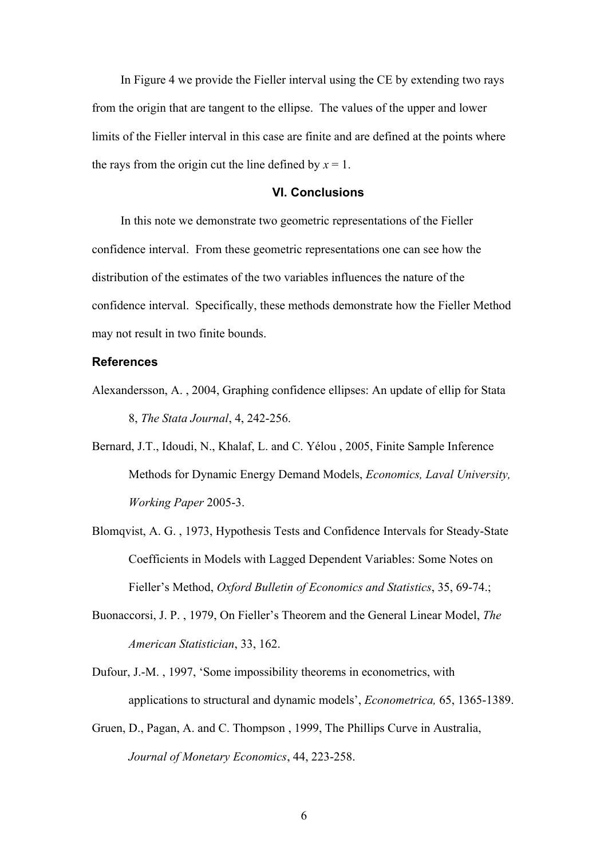In Figure 4 we provide the Fieller interval using the CE by extending two rays from the origin that are tangent to the ellipse. The values of the upper and lower limits of the Fieller interval in this case are finite and are defined at the points where the rays from the origin cut the line defined by  $x = 1$ .

# **VI. Conclusions**

In this note we demonstrate two geometric representations of the Fieller confidence interval. From these geometric representations one can see how the distribution of the estimates of the two variables influences the nature of the confidence interval. Specifically, these methods demonstrate how the Fieller Method may not result in two finite bounds.

# **References**

- Alexandersson, A. , 2004, Graphing confidence ellipses: An update of ellip for Stata 8, *The Stata Journal*, 4, 242-256.
- Bernard, J.T., Idoudi, N., Khalaf, L. and C. Yélou , 2005, Finite Sample Inference Methods for Dynamic Energy Demand Models, *Economics, Laval University, Working Paper* 2005-3.
- Blomqvist, A. G. , 1973, Hypothesis Tests and Confidence Intervals for Steady-State Coefficients in Models with Lagged Dependent Variables: Some Notes on Fieller's Method, *Oxford Bulletin of Economics and Statistics*, 35, 69-74.;
- Buonaccorsi, J. P. , 1979, On Fieller's Theorem and the General Linear Model, *The American Statistician*, 33, 162.
- Dufour, J.-M. , 1997, 'Some impossibility theorems in econometrics, with applications to structural and dynamic models', *Econometrica,* 65, 1365-1389.
- Gruen, D., Pagan, A. and C. Thompson , 1999, The Phillips Curve in Australia, *Journal of Monetary Economics*, 44, 223-258.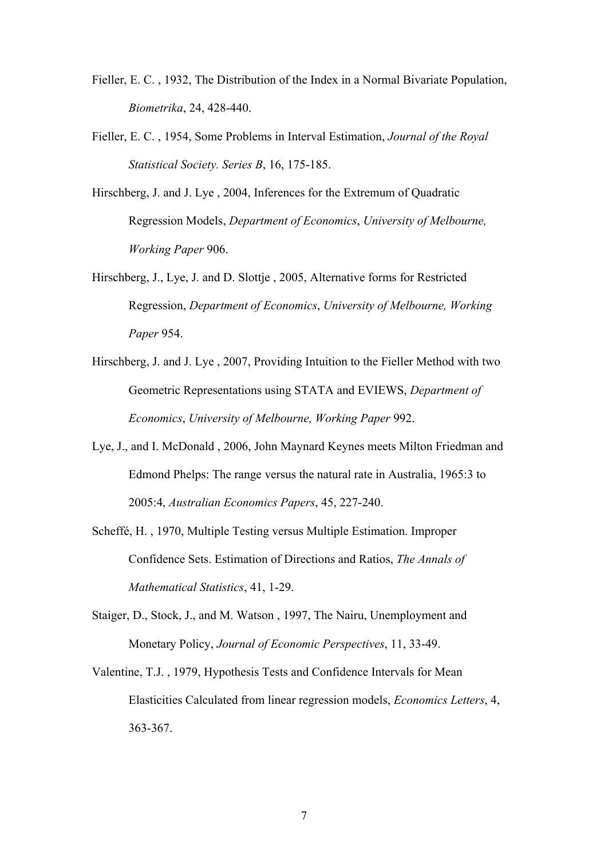- Fieller, E. C. , 1932, The Distribution of the Index in a Normal Bivariate Population, *Biometrika*, 24, 428-440.
- Fieller, E. C. , 1954, Some Problems in Interval Estimation, *Journal of the Royal Statistical Society. Series B*, 16, 175-185.
- Hirschberg, J. and J. Lye , 2004, Inferences for the Extremum of Quadratic Regression Models, *Department of Economics*, *University of Melbourne, Working Paper* 906.
- Hirschberg, J., Lye, J. and D. Slottje , 2005, Alternative forms for Restricted Regression, *Department of Economics*, *University of Melbourne, Working Paper* 954.
- Hirschberg, J. and J. Lye , 2007, Providing Intuition to the Fieller Method with two Geometric Representations using STATA and EVIEWS, *Department of Economics*, *University of Melbourne, Working Paper* 992.
- Lye, J., and I. McDonald , 2006, John Maynard Keynes meets Milton Friedman and Edmond Phelps: The range versus the natural rate in Australia, 1965:3 to 2005:4, *Australian Economics Papers*, 45, 227-240.
- Scheffé, H. , 1970, Multiple Testing versus Multiple Estimation. Improper Confidence Sets. Estimation of Directions and Ratios, *The Annals of Mathematical Statistics*, 41, 1-29.
- Staiger, D., Stock, J., and M. Watson , 1997, The Nairu, Unemployment and Monetary Policy, *Journal of Economic Perspectives*, 11, 33-49.
- Valentine, T.J. , 1979, Hypothesis Tests and Confidence Intervals for Mean Elasticities Calculated from linear regression models, *Economics Letters*, 4, 363-367.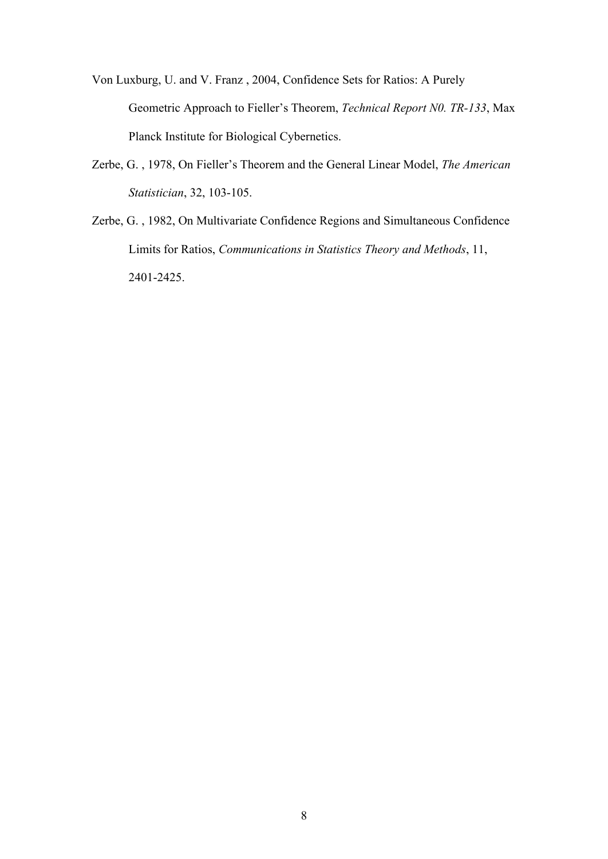- Von Luxburg, U. and V. Franz , 2004, Confidence Sets for Ratios: A Purely Geometric Approach to Fieller's Theorem, *Technical Report N0. TR-133*, Max Planck Institute for Biological Cybernetics.
- Zerbe, G. , 1978, On Fieller's Theorem and the General Linear Model, *The American Statistician*, 32, 103-105.
- Zerbe, G. , 1982, On Multivariate Confidence Regions and Simultaneous Confidence Limits for Ratios, *Communications in Statistics Theory and Methods*, 11, 2401-2425.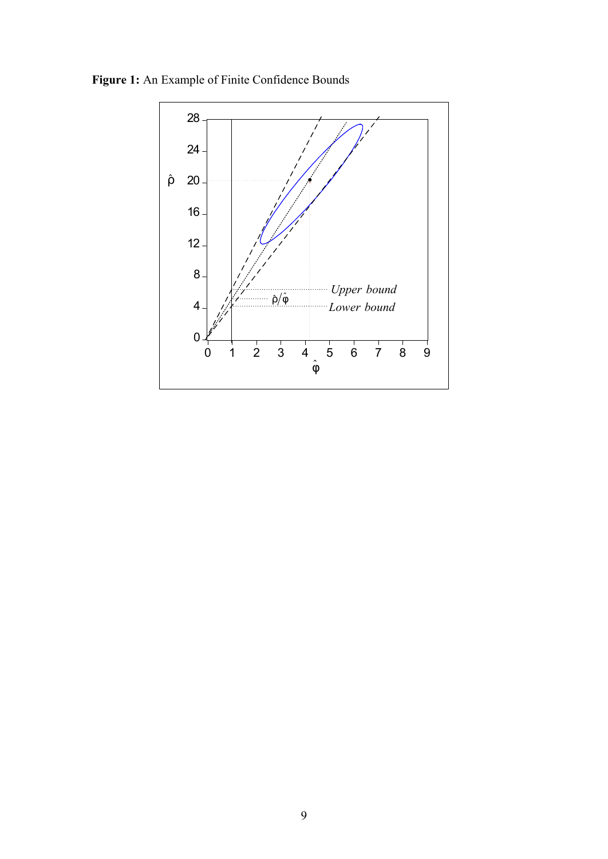**Figure 1:** An Example of Finite Confidence Bounds

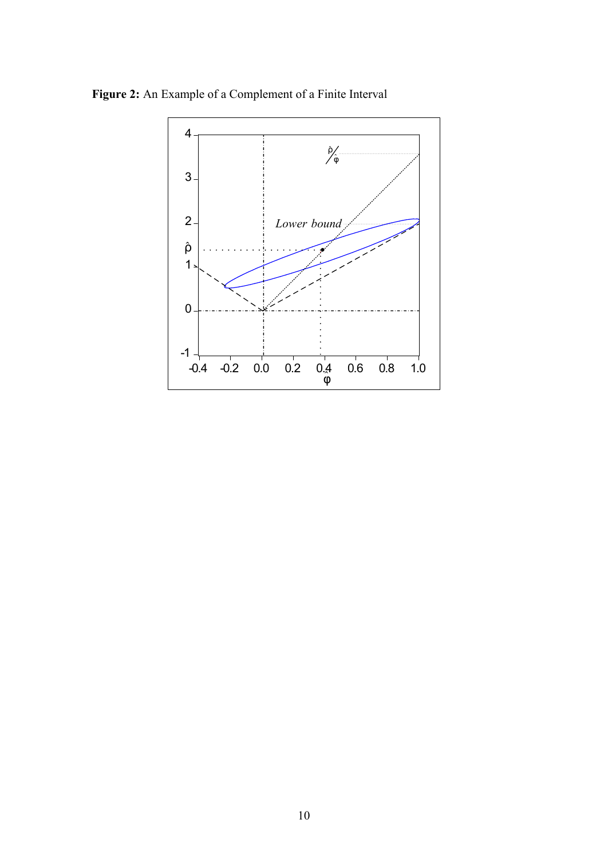**Figure 2:** An Example of a Complement of a Finite Interval

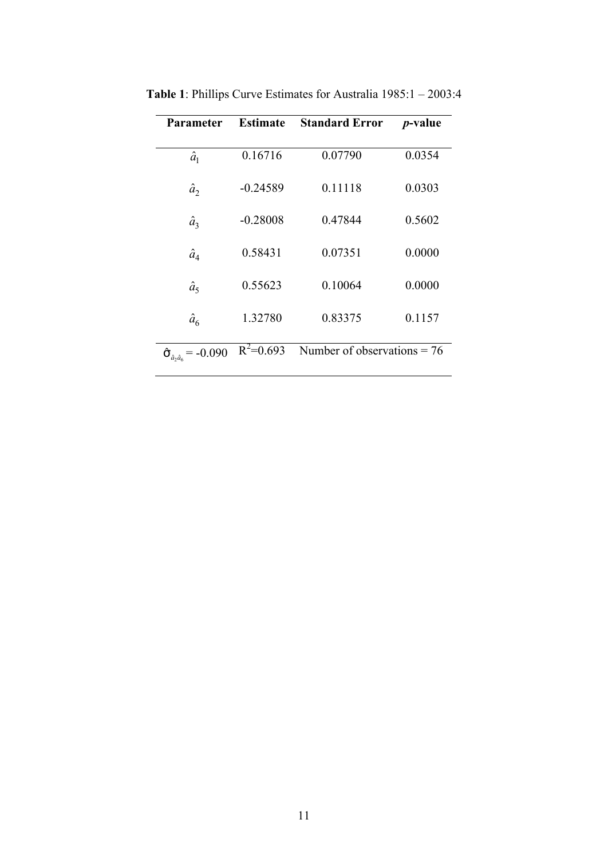| Parameter                                               | <b>Estimate</b> | <b>Standard Error</b>         | <i>p</i> -value |
|---------------------------------------------------------|-----------------|-------------------------------|-----------------|
|                                                         |                 |                               |                 |
| $\hat{a}_1$                                             | 0.16716         | 0.07790                       | 0.0354          |
|                                                         |                 |                               |                 |
| $\hat{a}_2$                                             | $-0.24589$      | 0.11118                       | 0.0303          |
|                                                         |                 |                               |                 |
| $\hat{a}_3$                                             | $-0.28008$      | 0.47844                       | 0.5602          |
|                                                         |                 |                               |                 |
| $\hat{a}_4$                                             | 0.58431         | 0.07351                       | 0.0000          |
| $\hat{a}_5$                                             | 0.55623         | 0.10064                       | 0.0000          |
|                                                         |                 |                               |                 |
| $\hat{a}_6$                                             | 1.32780         | 0.83375                       | 0.1157          |
|                                                         |                 |                               |                 |
| $\hat{\pmb{\sigma}}_{\hat{a}_2\hat{a}_6}$<br>$= -0.090$ | $R^2=0.693$     | Number of observations $= 76$ |                 |
|                                                         |                 |                               |                 |

**Table 1**: Phillips Curve Estimates for Australia 1985:1 – 2003:4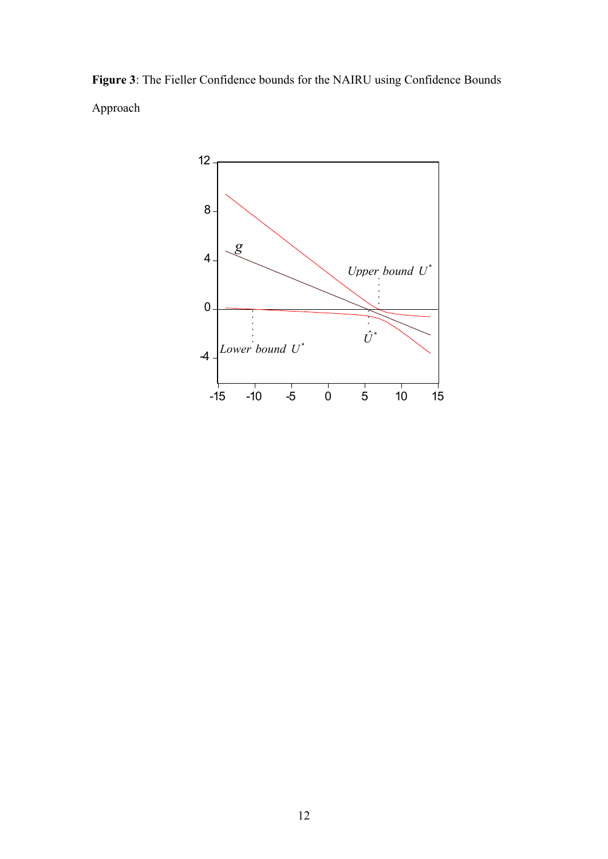**Figure 3**: The Fieller Confidence bounds for the NAIRU using Confidence Bounds Approach